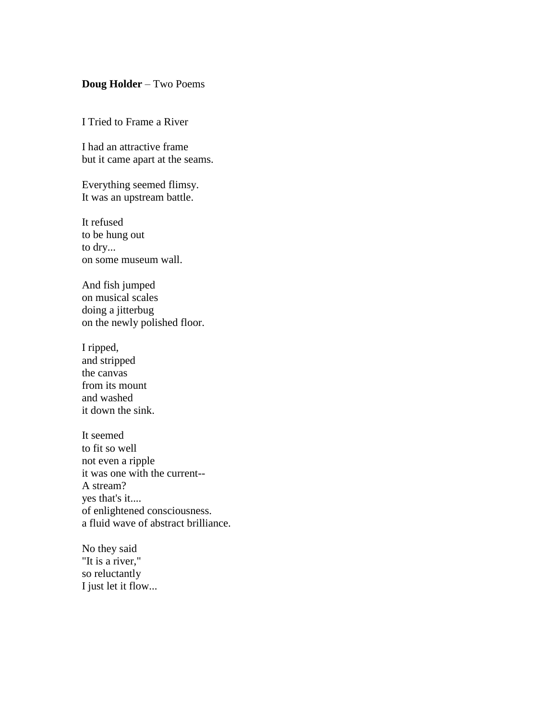## **Doug Holder** – Two Poems

I Tried to Frame a River

I had an attractive frame but it came apart at the seams.

Everything seemed flimsy. It was an upstream battle.

It refused to be hung out to dry... on some museum wall.

And fish jumped on musical scales doing a jitterbug on the newly polished floor.

I ripped, and stripped the canvas from its mount and washed it down the sink.

It seemed to fit so well not even a ripple it was one with the current-- A stream? yes that's it.... of enlightened consciousness. a fluid wave of abstract brilliance.

No they said "It is a river," so reluctantly I just let it flow...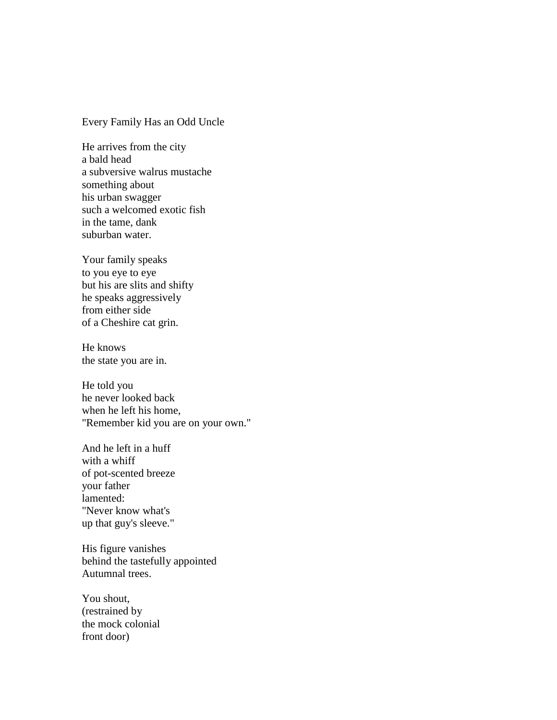## Every Family Has an Odd Uncle

He arrives from the city a bald head a subversive walrus mustache something about his urban swagger such a welcomed exotic fish in the tame, dank suburban water.

Your family speaks to you eye to eye but his are slits and shifty he speaks aggressively from either side of a Cheshire cat grin.

He knows the state you are in.

He told you he never looked back when he left his home, "Remember kid you are on your own."

And he left in a huff with a whiff of pot-scented breeze your father lamented: "Never know what's up that guy's sleeve."

His figure vanishes behind the tastefully appointed Autumnal trees.

You shout, (restrained by the mock colonial front door)